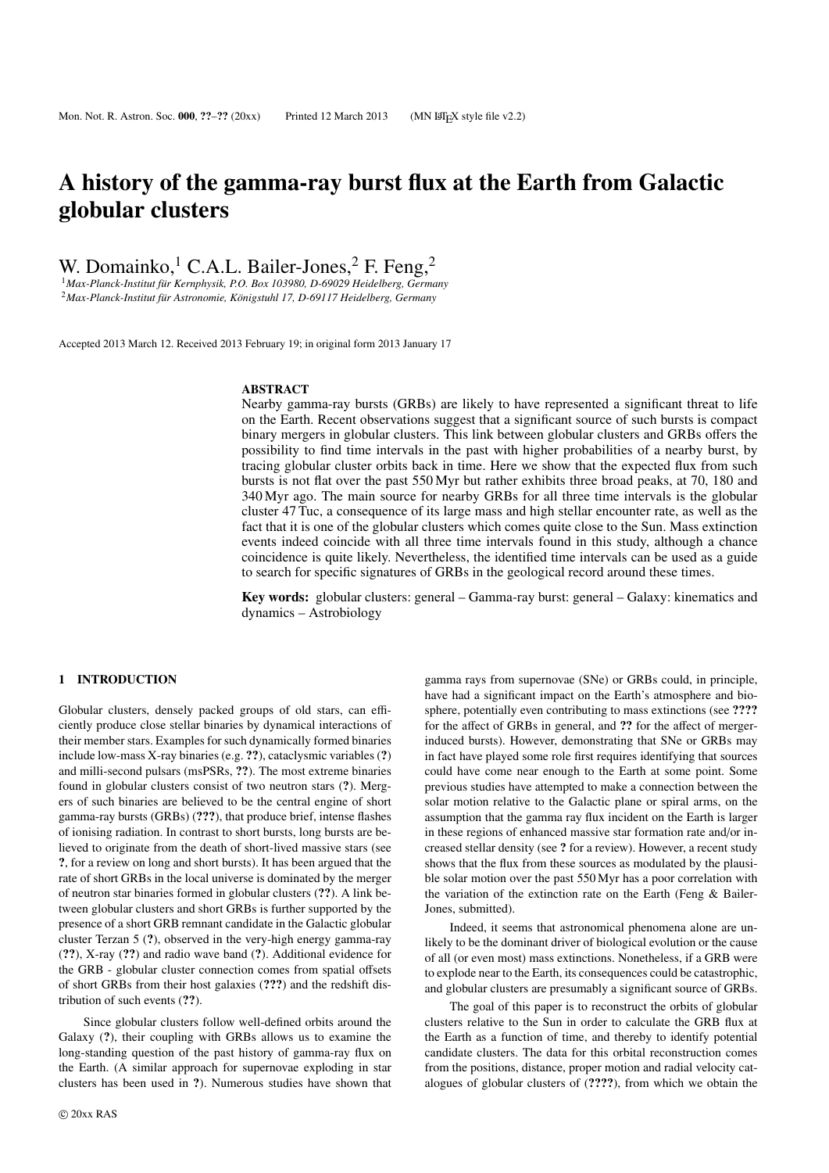# A history of the gamma-ray burst flux at the Earth from Galactic globular clusters

W. Domainko, <sup>1</sup> C.A.L. Bailer-Jones,  $2$  F. Feng,  $2$ 

<sup>1</sup> Max-Planck-Institut für Kernphysik, P.O. Box 103980, D-69029 Heidelberg, Germany <sup>2</sup> Max-Planck-Institut für Astronomie, Königstuhl 17, D-69117 Heidelberg, Germany

Accepted 2013 March 12. Received 2013 February 19; in original form 2013 January 17

#### **ABSTRACT**

Nearby gamma-ray bursts (GRBs) are likely to have represented a significant threat to life on the Earth. Recent observations suggest that a significant source of such bursts is compact binary mergers in globular clusters. This link between globular clusters and GRBs offers the possibility to find time intervals in the past with higher probabilities of a nearby burst, by tracing globular cluster orbits back in time. Here we show that the expected flux from such bursts is not flat over the past 550 Myr but rather exhibits three broad peaks, at 70, 180 and 340 Myr ago. The main source for nearby GRBs for all three time intervals is the globular cluster 47 Tuc, a consequence of its large mass and high stellar encounter rate, as well as the fact that it is one of the globular clusters which comes quite close to the Sun. Mass extinction events indeed coincide with all three time intervals found in this study, although a chance coincidence is quite likely. Nevertheless, the identified time intervals can be used as a guide to search for specific signatures of GRBs in the geological record around these times.

Key words: globular clusters: general – Gamma-ray burst: general – Galaxy: kinematics and dynamics – Astrobiology

#### 1 INTRODUCTION

Globular clusters, densely packed groups of old stars, can efficiently produce close stellar binaries by dynamical interactions of their member stars. Examples for such dynamically formed binaries include low-mass X-ray binaries (e.g. ??), cataclysmic variables (?) and milli-second pulsars (msPSRs, ??). The most extreme binaries found in globular clusters consist of two neutron stars (?). Mergers of such binaries are believed to be the central engine of short gamma-ray bursts (GRBs) (???), that produce brief, intense flashes of ionising radiation. In contrast to short bursts, long bursts are believed to originate from the death of short-lived massive stars (see ?, for a review on long and short bursts). It has been argued that the rate of short GRBs in the local universe is dominated by the merger of neutron star binaries formed in globular clusters (??). A link between globular clusters and short GRBs is further supported by the presence of a short GRB remnant candidate in the Galactic globular cluster Terzan 5 (?), observed in the very-high energy gamma-ray (??), X-ray (??) and radio wave band (?). Additional evidence for the GRB - globular cluster connection comes from spatial offsets of short GRBs from their host galaxies (???) and the redshift distribution of such events (??).

Since globular clusters follow well-defined orbits around the Galaxy (?), their coupling with GRBs allows us to examine the long-standing question of the past history of gamma-ray flux on the Earth. (A similar approach for supernovae exploding in star clusters has been used in ?). Numerous studies have shown that

for the affect of GRBs in general, and ?? for the affect of mergerinduced bursts). However, demonstrating that SNe or GRBs may in fact have played some role first requires identifying that sources could have come near enough to the Earth at some point. Some previous studies have attempted to make a connection between the solar motion relative to the Galactic plane or spiral arms, on the assumption that the gamma ray flux incident on the Earth is larger in these regions of enhanced massive star formation rate and/or increased stellar density (see ? for a review). However, a recent study shows that the flux from these sources as modulated by the plausible solar motion over the past 550 Myr has a poor correlation with the variation of the extinction rate on the Earth (Feng & Bailer-Jones, submitted). Indeed, it seems that astronomical phenomena alone are un-

likely to be the dominant driver of biological evolution or the cause of all (or even most) mass extinctions. Nonetheless, if a GRB were to explode near to the Earth, its consequences could be catastrophic, and globular clusters are presumably a significant source of GRBs.

gamma rays from supernovae (SNe) or GRBs could, in principle, have had a significant impact on the Earth's atmosphere and biosphere, potentially even contributing to mass extinctions (see ????

The goal of this paper is to reconstruct the orbits of globular clusters relative to the Sun in order to calculate the GRB flux at the Earth as a function of time, and thereby to identify potential candidate clusters. The data for this orbital reconstruction comes from the positions, distance, proper motion and radial velocity catalogues of globular clusters of (????), from which we obtain the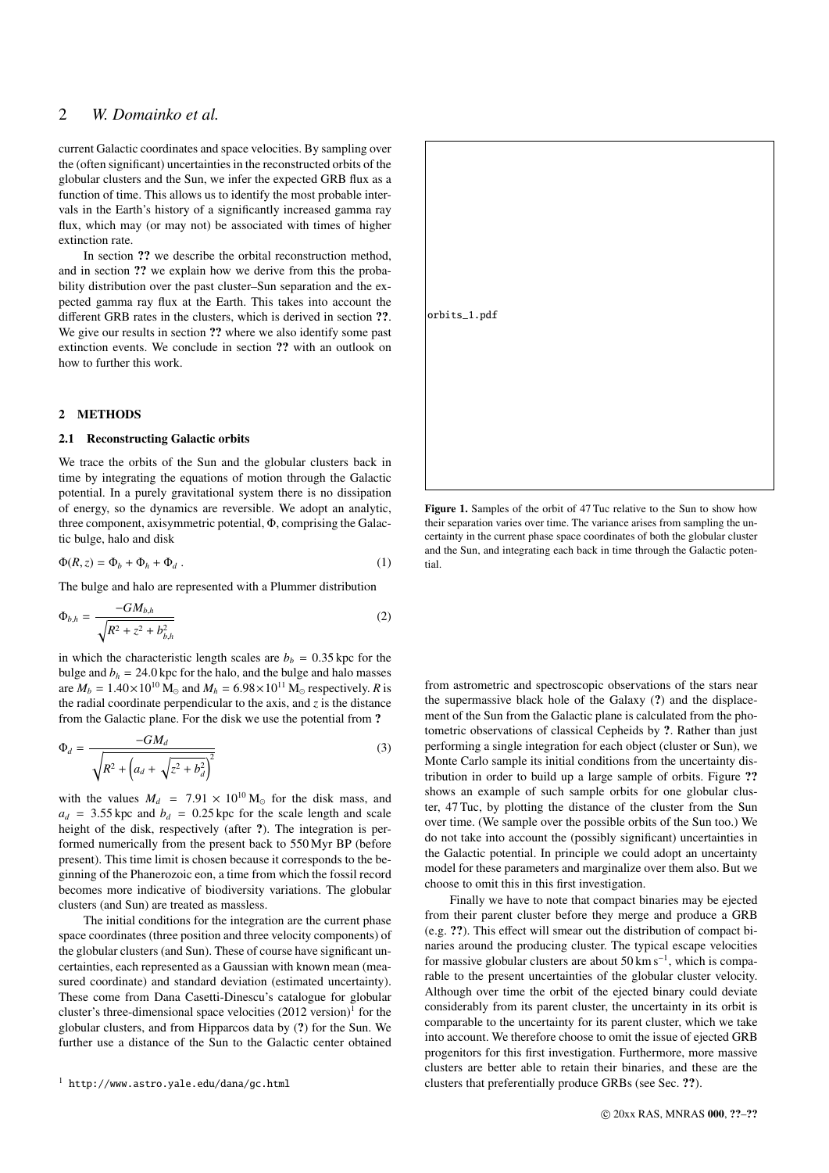# 2 *W. Domainko et al.*

current Galactic coordinates and space velocities. By sampling over the (often significant) uncertainties in the reconstructed orbits of the globular clusters and the Sun, we infer the expected GRB flux as a function of time. This allows us to identify the most probable intervals in the Earth's history of a significantly increased gamma ray flux, which may (or may not) be associated with times of higher extinction rate.

In section ?? we describe the orbital reconstruction method, and in section ?? we explain how we derive from this the probability distribution over the past cluster–Sun separation and the expected gamma ray flux at the Earth. This takes into account the different GRB rates in the clusters, which is derived in section ??. We give our results in section ?? where we also identify some past extinction events. We conclude in section ?? with an outlook on how to further this work.

#### 2 METHODS

### 2.1 Reconstructing Galactic orbits

We trace the orbits of the Sun and the globular clusters back in time by integrating the equations of motion through the Galactic potential. In a purely gravitational system there is no dissipation of energy, so the dynamics are reversible. We adopt an analytic, three component, axisymmetric potential, Φ, comprising the Galactic bulge, halo and disk

$$
\Phi(R, z) = \Phi_b + \Phi_h + \Phi_d . \tag{1}
$$

The bulge and halo are represented with a Plummer distribution

$$
\Phi_{b,h} = \frac{-GM_{b,h}}{\sqrt{R^2 + z^2 + b_{b,h}^2}}
$$
\n(2)

in which the characteristic length scales are  $b<sub>b</sub> = 0.35$  kpc for the bulge and  $b_h = 24.0$  kpc for the halo, and the bulge and halo masses are  $M_b = 1.40 \times 10^{10}$  M<sub>o</sub> and  $M_h = 6.98 \times 10^{11}$  M<sub>o</sub> respectively. *R* is the radial coordinate perpendicular to the axis, and  $\zeta$  is the distance from the Galactic plane. For the disk we use the potential from ?

$$
\Phi_d = \frac{-GM_d}{\sqrt{R^2 + \left(a_d + \sqrt{z^2 + b_d^2}\right)^2}}
$$
(3)

with the values  $M_d$  = 7.91 × 10<sup>10</sup> M<sub>o</sub> for the disk mass, and  $a_d$  = 3.55 kpc and  $b_d$  = 0.25 kpc for the scale length and scale height of the disk, respectively (after ?). The integration is performed numerically from the present back to 550 Myr BP (before present). This time limit is chosen because it corresponds to the beginning of the Phanerozoic eon, a time from which the fossil record becomes more indicative of biodiversity variations. The globular clusters (and Sun) are treated as massless.

The initial conditions for the integration are the current phase space coordinates (three position and three velocity components) of the globular clusters (and Sun). These of course have significant uncertainties, each represented as a Gaussian with known mean (measured coordinate) and standard deviation (estimated uncertainty). These come from Dana Casetti-Dinescu's catalogue for globular cluster's three-dimensional space velocities  $(2012 \text{ version})^1$  for the globular clusters, and from Hipparcos data by (?) for the Sun. We further use a distance of the Sun to the Galactic center obtained

<sup>1</sup> http://www.astro.yale.edu/dana/gc.html



Figure 1. Samples of the orbit of 47 Tuc relative to the Sun to show how their separation varies over time. The variance arises from sampling the uncertainty in the current phase space coordinates of both the globular cluster and the Sun, and integrating each back in time through the Galactic potential.

from astrometric and spectroscopic observations of the stars near the supermassive black hole of the Galaxy (?) and the displacement of the Sun from the Galactic plane is calculated from the photometric observations of classical Cepheids by ?. Rather than just performing a single integration for each object (cluster or Sun), we Monte Carlo sample its initial conditions from the uncertainty distribution in order to build up a large sample of orbits. Figure ?? shows an example of such sample orbits for one globular cluster, 47 Tuc, by plotting the distance of the cluster from the Sun over time. (We sample over the possible orbits of the Sun too.) We do not take into account the (possibly significant) uncertainties in the Galactic potential. In principle we could adopt an uncertainty model for these parameters and marginalize over them also. But we choose to omit this in this first investigation.

Finally we have to note that compact binaries may be ejected from their parent cluster before they merge and produce a GRB (e.g. ??). This effect will smear out the distribution of compact binaries around the producing cluster. The typical escape velocities for massive globular clusters are about 50 km s<sup>−</sup><sup>1</sup> , which is comparable to the present uncertainties of the globular cluster velocity. Although over time the orbit of the ejected binary could deviate considerably from its parent cluster, the uncertainty in its orbit is comparable to the uncertainty for its parent cluster, which we take into account. We therefore choose to omit the issue of ejected GRB progenitors for this first investigation. Furthermore, more massive clusters are better able to retain their binaries, and these are the clusters that preferentially produce GRBs (see Sec. ??).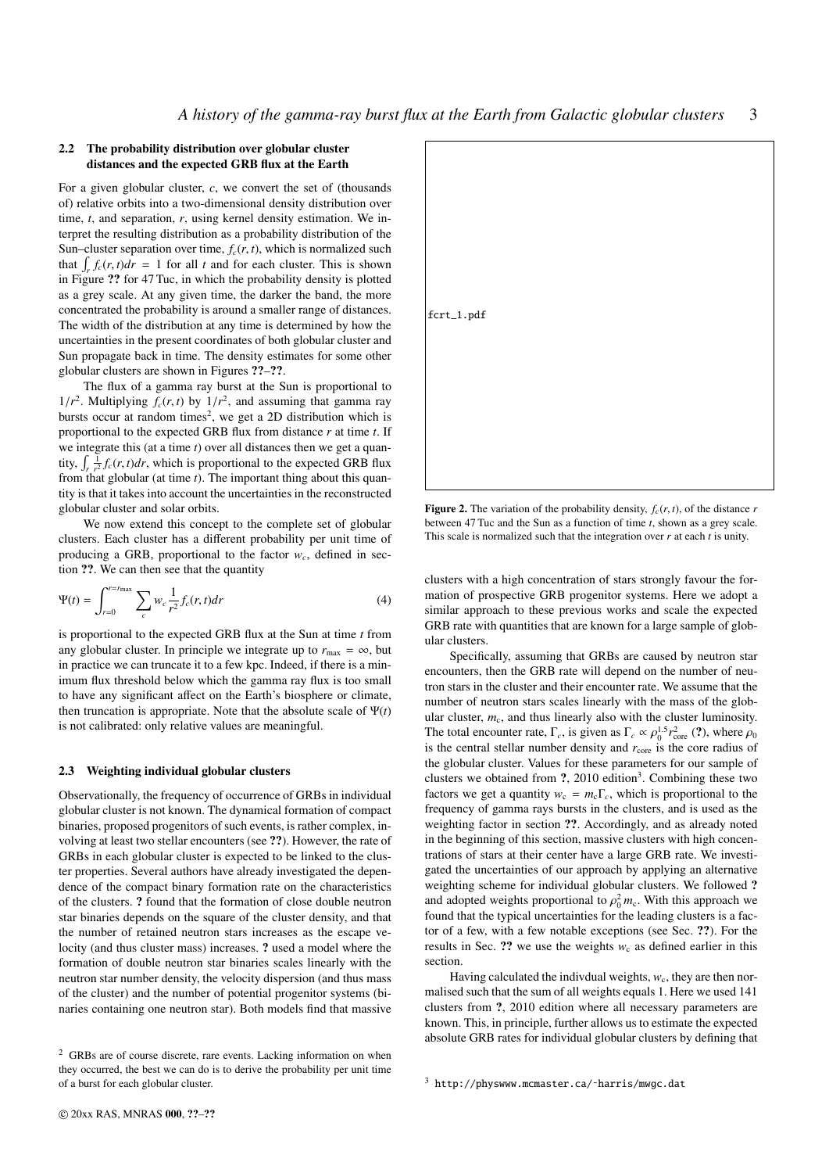#### 2.2 The probability distribution over globular cluster distances and the expected GRB flux at the Earth

For a given globular cluster, *c*, we convert the set of (thousands of) relative orbits into a two-dimensional density distribution over time, *t*, and separation, *r*, using kernel density estimation. We interpret the resulting distribution as a probability distribution of the Sun–cluster separation over time,  $f_c(r, t)$ , which is normalized such that  $\int_{r} f_c(r, t) dr = 1$  for all *t* and for each cluster. This is shown<br>in Figure 22 for 47 Tuc, in which the probability density is plotted in Figure ?? for 47 Tuc, in which the probability density is plotted as a grey scale. At any given time, the darker the band, the more concentrated the probability is around a smaller range of distances. The width of the distribution at any time is determined by how the uncertainties in the present coordinates of both globular cluster and Sun propagate back in time. The density estimates for some other globular clusters are shown in Figures ??–??.

The flux of a gamma ray burst at the Sun is proportional to  $1/r^2$ . Multiplying  $f_c(r, t)$  by  $1/r^2$ , and assuming that gamma ray<br>bursts occur at random times<sup>2</sup>, we get a 2D distribution which is bursts occur at random times<sup>2</sup>, we get a 2D distribution which is proportional to the expected GRB flux from distance *r* at time *t*. If we integrate this (at a time *t*) over all distances then we get a quantity,  $\int_{r} \frac{1}{r^2} f_c(r, t) dr$ , which is proportional to the expected GRB flux<br>from that globular (at time t). The important thing about this quanfrom that globular (at time *t*). The important thing about this quantity is that it takes into account the uncertainties in the reconstructed globular cluster and solar orbits.

We now extend this concept to the complete set of globular clusters. Each cluster has a different probability per unit time of producing a GRB, proportional to the factor  $w_c$ , defined in section ??. We can then see that the quantity

$$
\Psi(t) = \int_{r=0}^{r=r_{\text{max}}} \sum_{c} w_c \frac{1}{r^2} f_c(r, t) dr
$$
 (4)

is proportional to the expected GRB flux at the Sun at time *t* from any globular cluster. In principle we integrate up to  $r_{\text{max}} = \infty$ , but in practice we can truncate it to a few kpc. Indeed, if there is a minimum flux threshold below which the gamma ray flux is too small to have any significant affect on the Earth's biosphere or climate, then truncation is appropriate. Note that the absolute scale of  $\Psi(t)$ is not calibrated: only relative values are meaningful.

#### 2.3 Weighting individual globular clusters

Observationally, the frequency of occurrence of GRBs in individual globular cluster is not known. The dynamical formation of compact binaries, proposed progenitors of such events, is rather complex, involving at least two stellar encounters (see ??). However, the rate of GRBs in each globular cluster is expected to be linked to the cluster properties. Several authors have already investigated the dependence of the compact binary formation rate on the characteristics of the clusters. ? found that the formation of close double neutron star binaries depends on the square of the cluster density, and that the number of retained neutron stars increases as the escape velocity (and thus cluster mass) increases. ? used a model where the formation of double neutron star binaries scales linearly with the neutron star number density, the velocity dispersion (and thus mass of the cluster) and the number of potential progenitor systems (binaries containing one neutron star). Both models find that massive



Figure 2. The variation of the probability density,  $f_c(r, t)$ , of the distance  $r$ between 47 Tuc and the Sun as a function of time *t*, shown as a grey scale. This scale is normalized such that the integration over *r* at each *t* is unity.

clusters with a high concentration of stars strongly favour the formation of prospective GRB progenitor systems. Here we adopt a similar approach to these previous works and scale the expected GRB rate with quantities that are known for a large sample of globular clusters.

Specifically, assuming that GRBs are caused by neutron star encounters, then the GRB rate will depend on the number of neutron stars in the cluster and their encounter rate. We assume that the number of neutron stars scales linearly with the mass of the globular cluster,  $m<sub>c</sub>$ , and thus linearly also with the cluster luminosity. The total encounter rate,  $\Gamma_c$ , is given as  $\Gamma_c \propto \rho_0^{1.5} r_{\text{core}}^2$  (?), where  $\rho_c$  is the core radius of is the central stellar number density and  $r_{\text{core}}$  is the core radius of the globular cluster. Values for these parameters for our sample of clusters we obtained from  $?$ , 2010 edition<sup>3</sup>. Combining these two factors we get a quantity  $w_c = m_c \Gamma_c$ , which is proportional to the frequency of gamma rays bursts in the clusters, and is used as the weighting factor in section ??. Accordingly, and as already noted in the beginning of this section, massive clusters with high concentrations of stars at their center have a large GRB rate. We investigated the uncertainties of our approach by applying an alternative weighting scheme for individual globular clusters. We followed ? and adopted weights proportional to  $\rho_0^2 m_c$ . With this approach we found that the typical uncertainties for the leading clusters is a facfound that the typical uncertainties for the leading clusters is a factor of a few, with a few notable exceptions (see Sec. ??). For the results in Sec. ?? we use the weights  $w_c$  as defined earlier in this section.

Having calculated the indivdual weights,  $w_c$ , they are then normalised such that the sum of all weights equals 1. Here we used 141 clusters from ?, 2010 edition where all necessary parameters are known. This, in principle, further allows us to estimate the expected absolute GRB rates for individual globular clusters by defining that

<sup>2</sup> GRBs are of course discrete, rare events. Lacking information on when they occurred, the best we can do is to derive the probability per unit time of a burst for each globular cluster.

<sup>3</sup> http://physwww.mcmaster.ca/˜harris/mwgc.dat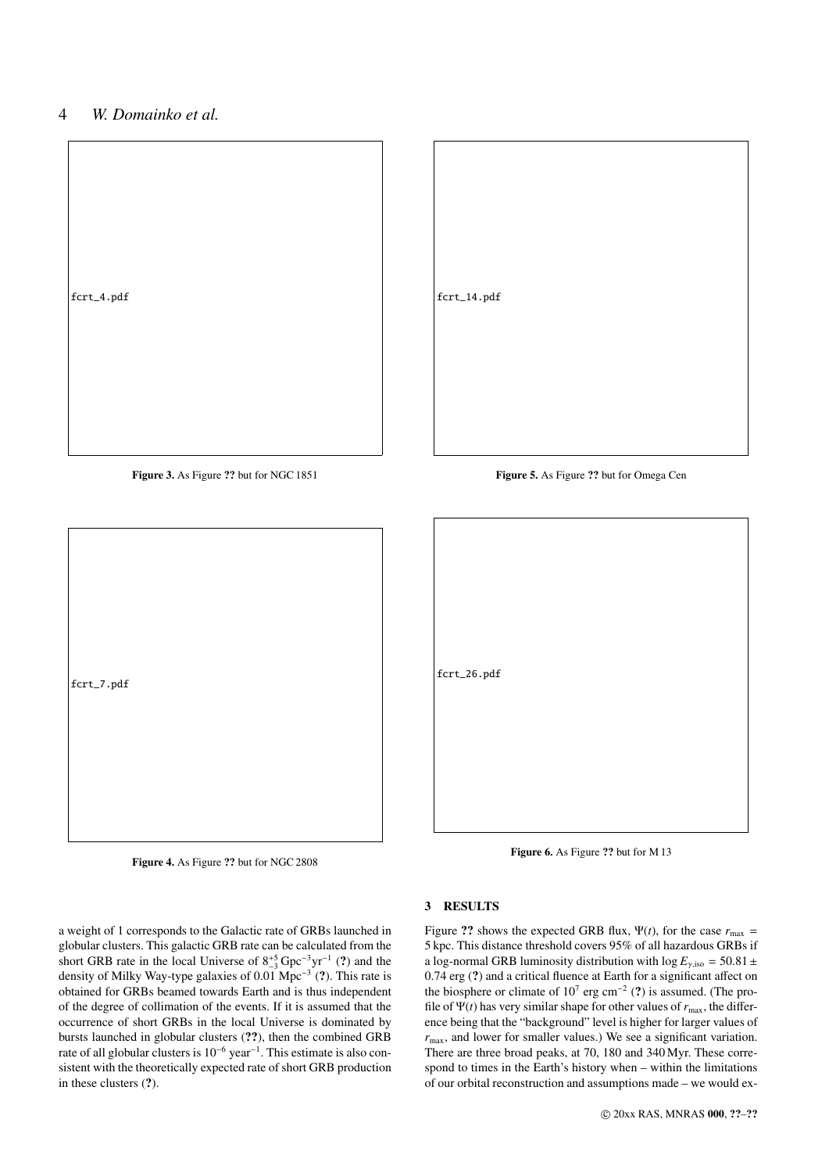# 4 *W. Domainko et al.*



Figure 3. As Figure ?? but for NGC 1851



Figure 5. As Figure ?? but for Omega Cen



Figure 4. As Figure ?? but for NGC 2808



Figure 6. As Figure ?? but for M 13

#### 3 RESULTS

a weight of 1 corresponds to the Galactic rate of GRBs launched in globular clusters. This galactic GRB rate can be calculated from the short GRB rate in the local Universe of  $8^{+5}_{-3}$  Gpc<sup>-3</sup>yr<sup>-1</sup> (?) and the density of Milky Way-type galaxies of 0.01 Mpc<sup>-3</sup> (?). This rate is obtained for GRBs beamed towards Earth and is thus independent of the degree of collimation of the events. If it is assumed that the occurrence of short GRBs in the local Universe is dominated by bursts launched in globular clusters (??), then the combined GRB rate of all globular clusters is 10<sup>−</sup><sup>6</sup> year<sup>−</sup><sup>1</sup> . This estimate is also consistent with the theoretically expected rate of short GRB production in these clusters (?).

Figure ?? shows the expected GRB flux,  $\Psi(t)$ , for the case  $r_{\text{max}} =$ 5 kpc. This distance threshold covers 95% of all hazardous GRBs if a log-normal GRB luminosity distribution with log  $E_{\gamma,iso} = 50.81 \pm$ <sup>0</sup>.74 erg (?) and a critical fluence at Earth for a significant affect on the biosphere or climate of  $10^7$  erg cm<sup>-2</sup> (?) is assumed. (The profile of  $\Psi(t)$  has very similar shape for other values of  $r_{\text{max}}$ , the difference being that the "background" level is higher for larger values of  $r_{\text{max}}$ , and lower for smaller values.) We see a significant variation. There are three broad peaks, at 70, 180 and 340 Myr. These correspond to times in the Earth's history when – within the limitations of our orbital reconstruction and assumptions made – we would ex-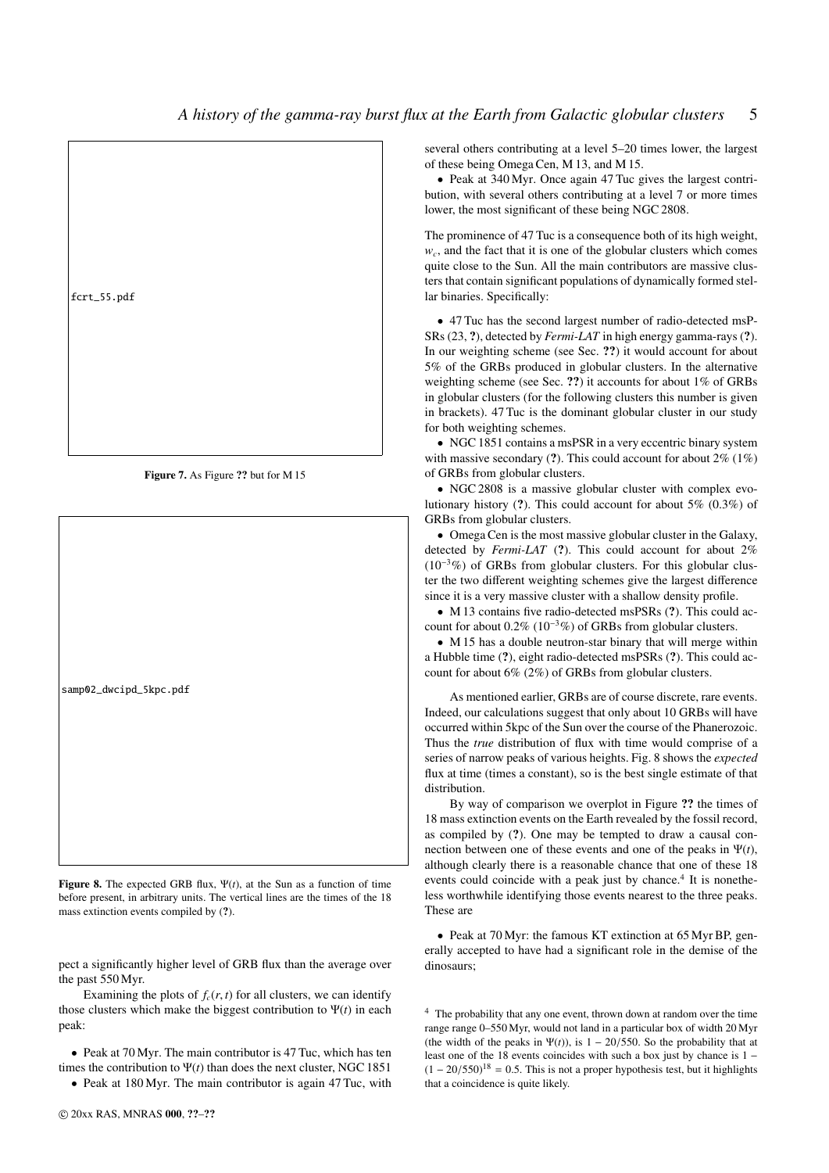

Figure 7. As Figure ?? but for M 15



Figure 8. The expected GRB flux,  $\Psi(t)$ , at the Sun as a function of time before present, in arbitrary units. The vertical lines are the times of the 18 mass extinction events compiled by (?).

pect a significantly higher level of GRB flux than the average over the past 550 Myr.

Examining the plots of  $f_c(r, t)$  for all clusters, we can identify those clusters which make the biggest contribution to  $\Psi(t)$  in each peak:

• Peak at 70 Myr. The main contributor is 47 Tuc, which has ten times the contribution to  $\Psi(t)$  than does the next cluster, NGC 1851

• Peak at 180 Myr. The main contributor is again 47 Tuc, with

several others contributing at a level 5–20 times lower, the largest of these being Omega Cen, M 13, and M 15.

• Peak at 340 Myr. Once again 47 Tuc gives the largest contribution, with several others contributing at a level 7 or more times lower, the most significant of these being NGC 2808.

The prominence of 47 Tuc is a consequence both of its high weight,  $w_c$ , and the fact that it is one of the globular clusters which comes quite close to the Sun. All the main contributors are massive clusters that contain significant populations of dynamically formed stellar binaries. Specifically:

• 47 Tuc has the second largest number of radio-detected msP-SRs (23, ?), detected by *Fermi-LAT* in high energy gamma-rays (?). In our weighting scheme (see Sec. ??) it would account for about 5% of the GRBs produced in globular clusters. In the alternative weighting scheme (see Sec. ??) it accounts for about 1% of GRBs in globular clusters (for the following clusters this number is given in brackets). 47 Tuc is the dominant globular cluster in our study for both weighting schemes.

• NGC 1851 contains a msPSR in a very eccentric binary system with massive secondary (?). This could account for about  $2\%$  (1%) of GRBs from globular clusters.

• NGC 2808 is a massive globular cluster with complex evolutionary history (?). This could account for about 5% (0.3%) of GRBs from globular clusters.

• Omega Cen is the most massive globular cluster in the Galaxy, detected by *Fermi-LAT* (?). This could account for about 2%  $(10^{-3}\%)$  of GRBs from globular clusters. For this globular cluster the two different weighting schemes give the largest difference since it is a very massive cluster with a shallow density profile.

• M 13 contains five radio-detected msPSRs (?). This could account for about 0.2% (10<sup>−</sup><sup>3</sup>%) of GRBs from globular clusters.

• M 15 has a double neutron-star binary that will merge within a Hubble time (?), eight radio-detected msPSRs (?). This could account for about 6% (2%) of GRBs from globular clusters.

As mentioned earlier, GRBs are of course discrete, rare events. Indeed, our calculations suggest that only about 10 GRBs will have occurred within 5kpc of the Sun over the course of the Phanerozoic. Thus the *true* distribution of flux with time would comprise of a series of narrow peaks of various heights. Fig. 8 shows the *expected* flux at time (times a constant), so is the best single estimate of that distribution.

By way of comparison we overplot in Figure ?? the times of 18 mass extinction events on the Earth revealed by the fossil record, as compiled by (?). One may be tempted to draw a causal connection between one of these events and one of the peaks in Ψ(*t*), although clearly there is a reasonable chance that one of these 18 events could coincide with a peak just by chance.<sup>4</sup> It is nonetheless worthwhile identifying those events nearest to the three peaks. These are

• Peak at 70 Myr: the famous KT extinction at 65 Myr BP, generally accepted to have had a significant role in the demise of the dinosaurs;

<sup>4</sup> The probability that any one event, thrown down at random over the time range range 0–550 Myr, would not land in a particular box of width 20 Myr (the width of the peaks in  $\Psi(t)$ ), is 1 – 20/550. So the probability that at least one of the 18 events coincides with such a box just by chance is 1 −  $(1 - 20/550)^{18} = 0.5$ . This is not a proper hypothesis test, but it highlights that a coincidence is quite likely.